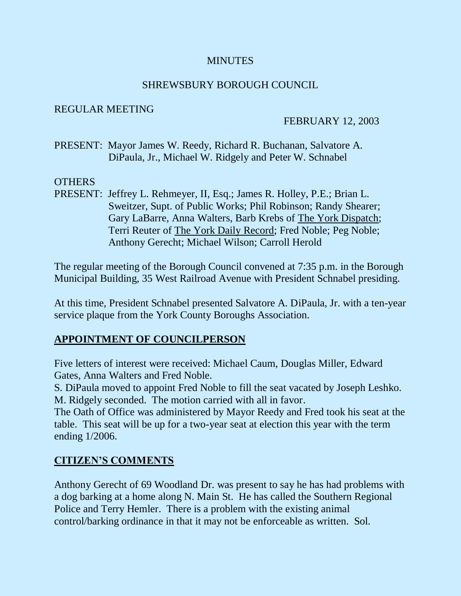### **MINUTES**

#### SHREWSBURY BOROUGH COUNCIL

#### REGULAR MEETING

#### FEBRUARY 12, 2003

PRESENT: Mayor James W. Reedy, Richard R. Buchanan, Salvatore A. DiPaula, Jr., Michael W. Ridgely and Peter W. Schnabel

#### OTHERS

PRESENT: Jeffrey L. Rehmeyer, II, Esq.; James R. Holley, P.E.; Brian L. Sweitzer, Supt. of Public Works; Phil Robinson; Randy Shearer; Gary LaBarre, Anna Walters, Barb Krebs of The York Dispatch; Terri Reuter of The York Daily Record; Fred Noble; Peg Noble; Anthony Gerecht; Michael Wilson; Carroll Herold

The regular meeting of the Borough Council convened at 7:35 p.m. in the Borough Municipal Building, 35 West Railroad Avenue with President Schnabel presiding.

At this time, President Schnabel presented Salvatore A. DiPaula, Jr. with a ten-year service plaque from the York County Boroughs Association.

### **APPOINTMENT OF COUNCILPERSON**

Five letters of interest were received: Michael Caum, Douglas Miller, Edward Gates, Anna Walters and Fred Noble.

S. DiPaula moved to appoint Fred Noble to fill the seat vacated by Joseph Leshko. M. Ridgely seconded. The motion carried with all in favor.

The Oath of Office was administered by Mayor Reedy and Fred took his seat at the table. This seat will be up for a two-year seat at election this year with the term ending 1/2006.

### **CITIZEN'S COMMENTS**

Anthony Gerecht of 69 Woodland Dr. was present to say he has had problems with a dog barking at a home along N. Main St. He has called the Southern Regional Police and Terry Hemler. There is a problem with the existing animal control/barking ordinance in that it may not be enforceable as written. Sol.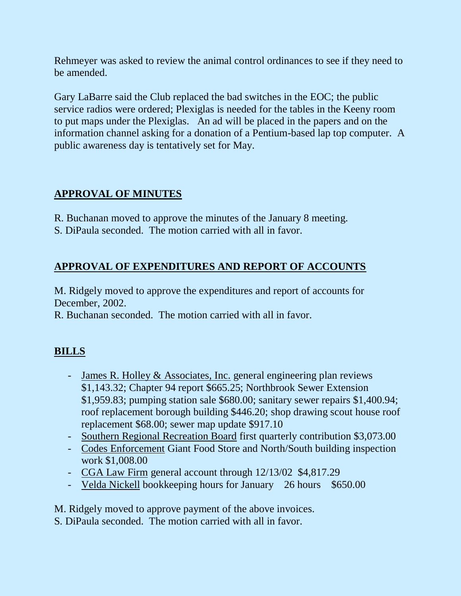Rehmeyer was asked to review the animal control ordinances to see if they need to be amended.

Gary LaBarre said the Club replaced the bad switches in the EOC; the public service radios were ordered; Plexiglas is needed for the tables in the Keeny room to put maps under the Plexiglas. An ad will be placed in the papers and on the information channel asking for a donation of a Pentium-based lap top computer. A public awareness day is tentatively set for May.

# **APPROVAL OF MINUTES**

- R. Buchanan moved to approve the minutes of the January 8 meeting.
- S. DiPaula seconded. The motion carried with all in favor.

# **APPROVAL OF EXPENDITURES AND REPORT OF ACCOUNTS**

M. Ridgely moved to approve the expenditures and report of accounts for December, 2002.

R. Buchanan seconded. The motion carried with all in favor.

# **BILLS**

- James R. Holley & Associates, Inc. general engineering plan reviews \$1,143.32; Chapter 94 report \$665.25; Northbrook Sewer Extension \$1,959.83; pumping station sale \$680.00; sanitary sewer repairs \$1,400.94; roof replacement borough building \$446.20; shop drawing scout house roof replacement \$68.00; sewer map update \$917.10
- Southern Regional Recreation Board first quarterly contribution \$3,073.00
- Codes Enforcement Giant Food Store and North/South building inspection work \$1,008.00
- CGA Law Firm general account through 12/13/02 \$4,817.29
- Velda Nickell bookkeeping hours for January 26 hours \$650.00

M. Ridgely moved to approve payment of the above invoices.

S. DiPaula seconded. The motion carried with all in favor.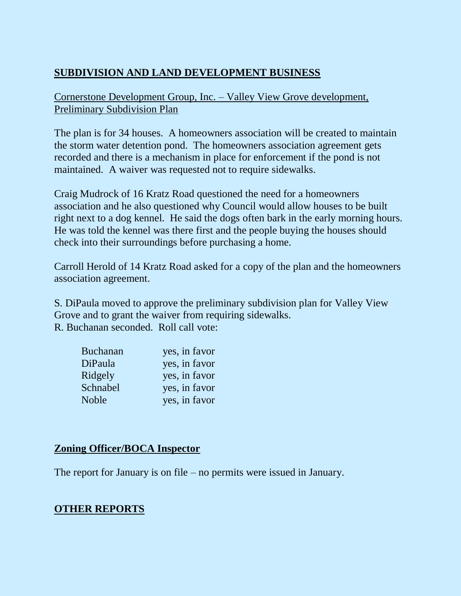# **SUBDIVISION AND LAND DEVELOPMENT BUSINESS**

# Cornerstone Development Group, Inc. – Valley View Grove development, Preliminary Subdivision Plan

The plan is for 34 houses. A homeowners association will be created to maintain the storm water detention pond. The homeowners association agreement gets recorded and there is a mechanism in place for enforcement if the pond is not maintained. A waiver was requested not to require sidewalks.

Craig Mudrock of 16 Kratz Road questioned the need for a homeowners association and he also questioned why Council would allow houses to be built right next to a dog kennel. He said the dogs often bark in the early morning hours. He was told the kennel was there first and the people buying the houses should check into their surroundings before purchasing a home.

Carroll Herold of 14 Kratz Road asked for a copy of the plan and the homeowners association agreement.

S. DiPaula moved to approve the preliminary subdivision plan for Valley View Grove and to grant the waiver from requiring sidewalks. R. Buchanan seconded. Roll call vote:

| <b>Buchanan</b> | yes, in favor |
|-----------------|---------------|
| DiPaula         | yes, in favor |
| Ridgely         | yes, in favor |
| Schnabel        | yes, in favor |
| <b>Noble</b>    | yes, in favor |

# **Zoning Officer/BOCA Inspector**

The report for January is on file – no permits were issued in January.

# **OTHER REPORTS**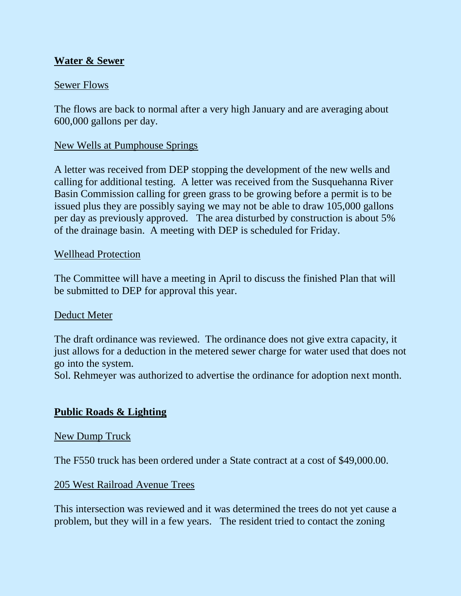### **Water & Sewer**

#### Sewer Flows

The flows are back to normal after a very high January and are averaging about 600,000 gallons per day.

#### New Wells at Pumphouse Springs

A letter was received from DEP stopping the development of the new wells and calling for additional testing. A letter was received from the Susquehanna River Basin Commission calling for green grass to be growing before a permit is to be issued plus they are possibly saying we may not be able to draw 105,000 gallons per day as previously approved. The area disturbed by construction is about 5% of the drainage basin. A meeting with DEP is scheduled for Friday.

#### Wellhead Protection

The Committee will have a meeting in April to discuss the finished Plan that will be submitted to DEP for approval this year.

#### Deduct Meter

The draft ordinance was reviewed. The ordinance does not give extra capacity, it just allows for a deduction in the metered sewer charge for water used that does not go into the system.

Sol. Rehmeyer was authorized to advertise the ordinance for adoption next month.

### **Public Roads & Lighting**

#### New Dump Truck

The F550 truck has been ordered under a State contract at a cost of \$49,000.00.

#### 205 West Railroad Avenue Trees

This intersection was reviewed and it was determined the trees do not yet cause a problem, but they will in a few years. The resident tried to contact the zoning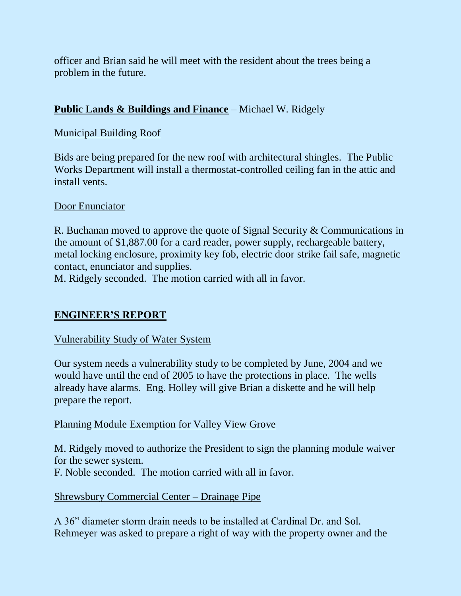officer and Brian said he will meet with the resident about the trees being a problem in the future.

# **Public Lands & Buildings and Finance** – Michael W. Ridgely

## Municipal Building Roof

Bids are being prepared for the new roof with architectural shingles. The Public Works Department will install a thermostat-controlled ceiling fan in the attic and install vents.

### Door Enunciator

R. Buchanan moved to approve the quote of Signal Security & Communications in the amount of \$1,887.00 for a card reader, power supply, rechargeable battery, metal locking enclosure, proximity key fob, electric door strike fail safe, magnetic contact, enunciator and supplies.

M. Ridgely seconded. The motion carried with all in favor.

# **ENGINEER'S REPORT**

### Vulnerability Study of Water System

Our system needs a vulnerability study to be completed by June, 2004 and we would have until the end of 2005 to have the protections in place. The wells already have alarms. Eng. Holley will give Brian a diskette and he will help prepare the report.

### Planning Module Exemption for Valley View Grove

M. Ridgely moved to authorize the President to sign the planning module waiver for the sewer system.

F. Noble seconded. The motion carried with all in favor.

# Shrewsbury Commercial Center – Drainage Pipe

A 36" diameter storm drain needs to be installed at Cardinal Dr. and Sol. Rehmeyer was asked to prepare a right of way with the property owner and the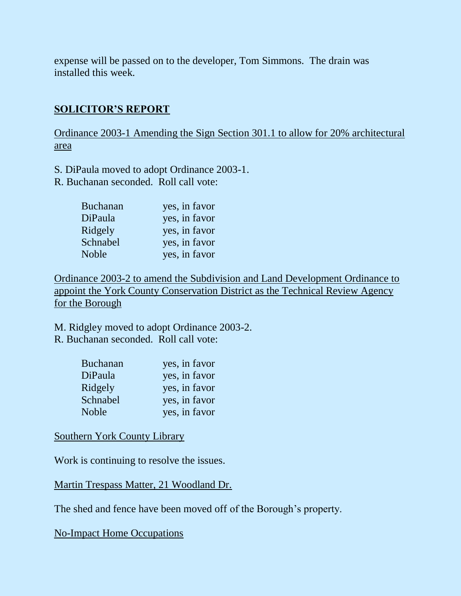expense will be passed on to the developer, Tom Simmons. The drain was installed this week.

### **SOLICITOR'S REPORT**

Ordinance 2003-1 Amending the Sign Section 301.1 to allow for 20% architectural area

S. DiPaula moved to adopt Ordinance 2003-1.

R. Buchanan seconded. Roll call vote:

| <b>Buchanan</b> | yes, in favor |
|-----------------|---------------|
| DiPaula         | yes, in favor |
| Ridgely         | yes, in favor |
| Schnabel        | yes, in favor |
| <b>Noble</b>    | yes, in favor |

Ordinance 2003-2 to amend the Subdivision and Land Development Ordinance to appoint the York County Conservation District as the Technical Review Agency for the Borough

M. Ridgley moved to adopt Ordinance 2003-2. R. Buchanan seconded. Roll call vote:

| <b>Buchanan</b> | yes, in favor |
|-----------------|---------------|
| DiPaula         | yes, in favor |
| Ridgely         | yes, in favor |
| Schnabel        | yes, in favor |
| <b>Noble</b>    | yes, in favor |

Southern York County Library

Work is continuing to resolve the issues.

Martin Trespass Matter, 21 Woodland Dr.

The shed and fence have been moved off of the Borough's property.

No-Impact Home Occupations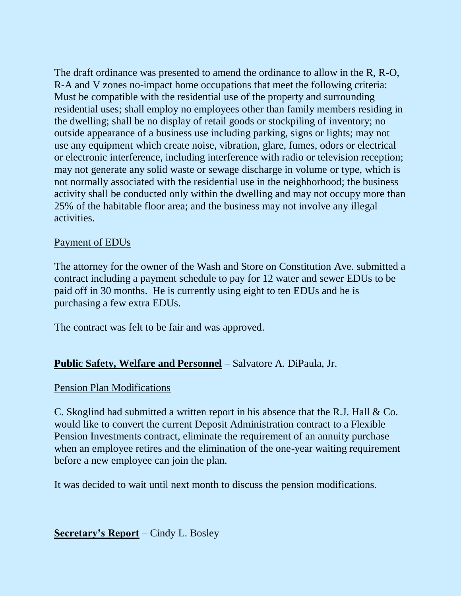The draft ordinance was presented to amend the ordinance to allow in the R, R-O, R-A and V zones no-impact home occupations that meet the following criteria: Must be compatible with the residential use of the property and surrounding residential uses; shall employ no employees other than family members residing in the dwelling; shall be no display of retail goods or stockpiling of inventory; no outside appearance of a business use including parking, signs or lights; may not use any equipment which create noise, vibration, glare, fumes, odors or electrical or electronic interference, including interference with radio or television reception; may not generate any solid waste or sewage discharge in volume or type, which is not normally associated with the residential use in the neighborhood; the business activity shall be conducted only within the dwelling and may not occupy more than 25% of the habitable floor area; and the business may not involve any illegal activities.

### Payment of EDUs

The attorney for the owner of the Wash and Store on Constitution Ave. submitted a contract including a payment schedule to pay for 12 water and sewer EDUs to be paid off in 30 months. He is currently using eight to ten EDUs and he is purchasing a few extra EDUs.

The contract was felt to be fair and was approved.

# **Public Safety, Welfare and Personnel** – Salvatore A. DiPaula, Jr.

#### Pension Plan Modifications

C. Skoglind had submitted a written report in his absence that the R.J. Hall & Co. would like to convert the current Deposit Administration contract to a Flexible Pension Investments contract, eliminate the requirement of an annuity purchase when an employee retires and the elimination of the one-year waiting requirement before a new employee can join the plan.

It was decided to wait until next month to discuss the pension modifications.

**Secretary's Report** – Cindy L. Bosley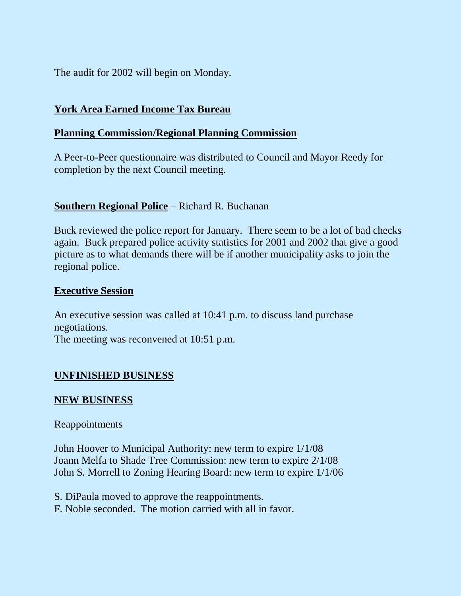The audit for 2002 will begin on Monday.

# **York Area Earned Income Tax Bureau**

### **Planning Commission/Regional Planning Commission**

A Peer-to-Peer questionnaire was distributed to Council and Mayor Reedy for completion by the next Council meeting.

### **Southern Regional Police** – Richard R. Buchanan

Buck reviewed the police report for January. There seem to be a lot of bad checks again. Buck prepared police activity statistics for 2001 and 2002 that give a good picture as to what demands there will be if another municipality asks to join the regional police.

#### **Executive Session**

An executive session was called at 10:41 p.m. to discuss land purchase negotiations. The meeting was reconvened at 10:51 p.m.

# **UNFINISHED BUSINESS**

### **NEW BUSINESS**

### **Reappointments**

John Hoover to Municipal Authority: new term to expire 1/1/08 Joann Melfa to Shade Tree Commission: new term to expire 2/1/08 John S. Morrell to Zoning Hearing Board: new term to expire 1/1/06

S. DiPaula moved to approve the reappointments.

F. Noble seconded. The motion carried with all in favor.